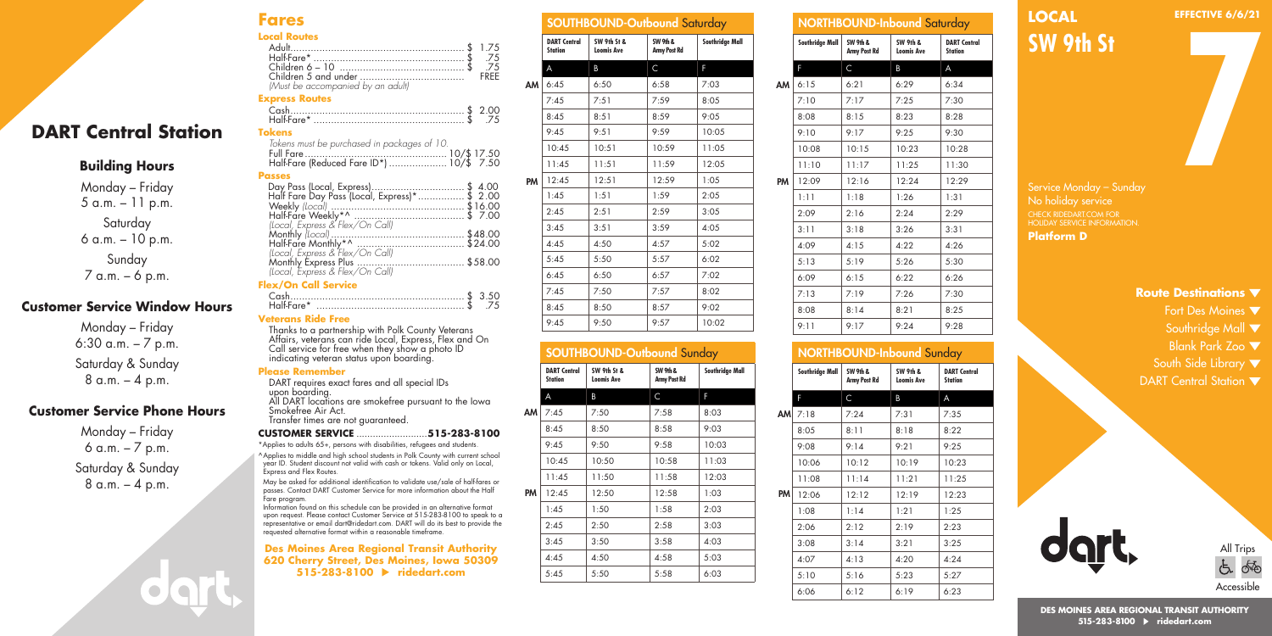#### **Fares Local Routes**

| <b>IOCOL KOUTES</b>              |  |
|----------------------------------|--|
|                                  |  |
|                                  |  |
|                                  |  |
|                                  |  |
| Must be accompanied by an adultl |  |

#### **Express Routes**

**Passes**

| Cash          |  |
|---------------|--|
|               |  |
| <b>Tokens</b> |  |

Full Fare ................................................. 10/\$ 17.50 Half-Fare (Reduced Fare ID\*) .................... 10/\$ 7.50

 Day Pass (Local, Express)................................ \$ 4.00 Half Fare Day Pass (Local, Express)\*................ \$ 2.00 Weekly *(Local)* .............................................. \$16.00 Half-Fare Weekly\*^ ...................................... \$ 7.00

Monthly *(Local)* .............................................. \$48.00 Half-Fare Monthly\*^ ..................................... \$24.00 *(Local, Express & Flex/On Call)* Monthly Express Plus ..................................... \$58.00

Cash............................................................ \$ 3.50 Half-Fare\* ................................................... \$ .75

Thanks to a partnership with Polk County Veterans Affairs, veterans can ride Local, Express, Flex and On

*Tokens must be purchased in packages of 10.*

*(Local, Express & Flex/On Call)*

*(Local, Express & Flex/On Call)*

**Flex/On Call Service**

**Veterans Ride Free** 

## **DART Central Station**

## **Building Hours**

Monday – Friday 5 a.m. – 11 p.m. Saturday 6 a.m. – 10 p.m. Sunday 7 a.m. – 6 p.m.

### **Customer Service Window Hours**

Monday – Friday 6:30 a.m. – 7 p.m. Saturday & Sunday  $8 a.m. - 4 p.m.$ 

## **Customer Service Phone Hours**

Monday – Friday 6 a.m. – 7 p.m. Saturday & Sunday  $8 a.m. - 4 p.m.$ 

|      |                                       | <b>SOUTHBOUND-Outbound Saturday</b> |                          |                 |
|------|---------------------------------------|-------------------------------------|--------------------------|-----------------|
|      | <b>DART Central</b><br><b>Station</b> | SW 9th St &<br><b>Loomis Ave</b>    | SW 9th &<br>Army Post Rd | Southridge Mall |
|      | A                                     | B                                   | $\mathsf{C}$             | F               |
| AM I | 6:45                                  | 6:50                                | 6:58                     | 7:03            |
|      | 7:45                                  | 7:51                                | 7:59                     | 8:05            |
|      | 8:45                                  | 8:51                                | 8:59                     | 9:05            |
|      | 9:45                                  | 9:51                                | 9:59                     | 10:05           |
|      | 10:45                                 | 10:51                               | 10:59                    | 11:05           |
|      | 11:45                                 | 11:51                               | 11:59                    | 12:05           |
| PM   | 12:45                                 | 12:51                               | 12:59                    | 1:05            |
|      | 1:45                                  | 1:51                                | 1:59                     | 2:05            |
|      | 2:45                                  | 2:51                                | 2:59                     | 3:05            |
|      | 3:45                                  | 3:51                                | 3:59                     | 4:05            |
|      | 4:45                                  | 4:50                                | 4:57                     | 5:02            |
|      | 5:45                                  | 5:50                                | 5:57                     | 6:02            |
|      | 6:45                                  | 6:50                                | 6:57                     | 7:02            |
|      | 7:45                                  | 7:50                                | 7:57                     | 8:02            |
|      | 8:45                                  | 8:50                                | 8:57                     | 9:02            |
|      | 9:45                                  | 9:50                                | 9:57                     | 10:02           |

#### SOUTHBOUND-Outbound Sunday

| <b>DART Central</b><br><b>Station</b> | SW 9th St &<br><b>Loomis Ave</b> | SW 9th &<br>Army Post Rd | Southridge Mall |
|---------------------------------------|----------------------------------|--------------------------|-----------------|
| A                                     | B                                | C                        | F               |
| 7:45                                  | 7:50                             | 7:58                     | 8:03            |
| 8:45                                  | 8:50                             | 8:58                     | 9:03            |
| 9:45                                  | 9:50                             | 9:58                     | 10:03           |
| 10:45                                 | 10:50                            | 10:58                    | 11:03           |
| 11:45                                 | 11:50                            | 11:58                    | 12:03           |
| 12:45                                 | 12:50                            | 12:58                    | 1:03            |
| 1:45                                  | 1:50                             | 1:58                     | 2:03            |
| 2:45                                  | 2:50                             | 2:58                     | 3:03            |
| 3:45                                  | 3:50                             | 3:58                     | 4:03            |
| 4:45                                  | 4:50                             | 4:58                     | 5:03            |
| 5:45                                  | 5:50                             | 5:58                     | 6:03            |
|                                       |                                  |                          |                 |

|    |                 |                          | <b>NORTHBOUND-Inbound Saturday</b>       |                                       |
|----|-----------------|--------------------------|------------------------------------------|---------------------------------------|
|    | Southridge Mall | SW 9th &<br>Army Post Rd | <b>SW 9th &amp;</b><br><b>Loomis Ave</b> | <b>DART Central</b><br><b>Station</b> |
|    | F               | C                        | B                                        | A                                     |
| AM | 6:15            | 6:21                     | 6:29                                     | 6:34                                  |
|    | 7:10            | 7:17                     | 7:25                                     | 7:30                                  |
|    | 8:08            | 8:15                     | 8:23                                     | 8:28                                  |
|    | 9:10            | 9:17                     | 9:25                                     | 9:30                                  |
|    | 10:08           | 10:15                    | 10:23                                    | 10:28                                 |
|    | 11:10           | 11:17                    | 11:25                                    | 11:30                                 |
| PM | 12:09           | 12:16                    | 12:24                                    | 12:29                                 |
|    | 1:11            | 1:18                     | 1:26                                     | 1:31                                  |
|    | 2:09            | 2:16                     | 2:24                                     | 2:29                                  |
|    | 3:11            | 3:18                     | 3:26                                     | 3:31                                  |
|    | 4:09            | 4:15                     | 4:22                                     | 4:26                                  |
|    | 5:13            | 5:19                     | 5:26                                     | 5:30                                  |
|    | 6:09            | 6:15                     | 6:22                                     | 6:26                                  |
|    | 7:13            | 7:19                     | 7:26                                     | 7:30                                  |
|    | 8:08            | 8:14                     | 8:21                                     | 8:25                                  |
|    | 9:11            | 9:17                     | 9:24                                     | 9:28                                  |
|    |                 |                          |                                          |                                       |

## NORTHBOUND-Inbound Sunday

|           | Southridge Mall | SW 9th &<br>Army Post Rd | <b>SW 9th &amp;</b><br><b>Loomis Ave</b> | <b>DART Central</b><br><b>Station</b> |
|-----------|-----------------|--------------------------|------------------------------------------|---------------------------------------|
|           | F               | C                        | B                                        | A                                     |
| <b>AM</b> | 7:18            | 7:24                     | 7:31                                     | 7:35                                  |
|           | 8:05            | 8:11                     | 8:18                                     | 8:22                                  |
|           | 9:08            | 9:14                     | 9:21                                     | 9:25                                  |
|           | 10:06           | 10:12                    | 10:19                                    | 10:23                                 |
|           | 11:08           | 11:14                    | 11:21                                    | 11:25                                 |
| PM        | 12:06           | 12:12                    | 12:19                                    | 12:23                                 |
|           | 1:08            | 1:14                     | 1:21                                     | 1:25                                  |
|           | 2:06            | 2:12                     | 2:19                                     | 2:23                                  |
|           | 3:08            | 3:14                     | 3:21                                     | 3:25                                  |
|           | 4:07            | 4:13                     | 4:20                                     | 4:24                                  |
|           | 5:10            | 5:16                     | 5:23                                     | 5:27                                  |
|           | 6:06            | 6:12                     | 6:19                                     | 6:23                                  |

# **LOCAL**

**EFFECTIVE 6/6/21**

**SW 9th St**

**7**

Service Monday – Sunday CHECK RIDEDART.COM FOR HOLIDAY SERVICE INFORMATION. **Platform D**

#### **Route Destinations**

- Fort Des Moines ▼
	- Southridge Mall  $\blacktriangledown$
	- Blank Park Zoo

All Trips

௸  $\tilde{\sigma}$ 

**Accessible** 

- South Side Library  $\blacktriangledown$
- DART Central Station  $\blacktriangledown$

**DES MOINES AREA REGIONAL TRANSIT AUTHORITY 515-283-8100 ridedart.com**

|    |                                       | soon is on the consequence conday |                          |                 |
|----|---------------------------------------|-----------------------------------|--------------------------|-----------------|
|    | <b>DART Central</b><br><b>Station</b> | SW 9th St &<br><b>Loomis Ave</b>  | SW 9th &<br>Army Post Rd | Southridge Mall |
|    | A                                     | B                                 | C                        | F               |
| V  | 7:45                                  | 7:50                              | 7:58                     | 8:03            |
|    | 8:45                                  | 8:50                              | 8:58                     | 9:03            |
|    | 9:45                                  | 9:50                              | 9:58                     | 10:03           |
|    | 10:45                                 | 10:50                             | 10:58                    | 11:03           |
|    | 11:45                                 | 11:50                             | 11:58                    | 12:03           |
| Λ. | 12:45                                 | 12:50                             | 12:58                    | 1:03            |
|    | 1:45                                  | 1:50                              | 1:58                     | 2:03            |
|    | 2:45                                  | 2:50                              | 2:58                     | 3:03            |
|    | 3:45                                  | 3:50                              | 3:58                     | 4:03            |
|    | 4:45                                  | 4:50                              | 4:58                     | 5:03            |
|    | 5:45                                  | 5:50                              | 5:58                     | 6:03            |

| Call service for free when they show a photo ID<br>indicating veteran status upon boarding.                                                                    |
|----------------------------------------------------------------------------------------------------------------------------------------------------------------|
| <b>Please Remember</b>                                                                                                                                         |
| DART requires exact fares and all special IDs                                                                                                                  |
| upon boarding.<br>All DART locations are smokefree pursuant to the lowa<br>Smokefree Air Act.<br>Transfer times are not guaranteed.                            |
|                                                                                                                                                                |
| *Applies to adults 65+, persons with disabilities, refugees and students.                                                                                      |
| ^Applies to middle and high school students in Polk County with current school<br>vegr ID, Student discount not valid with cash or tokens. Valid only on Local |

year ID. Student discou Express and Flex Routes. May be asked for additional identification to validate use/sale of half-fares or passes. Contact DART Customer Service for more information about the Half

Fare program. Information found on this schedule can be provided in an alternative format upon request. Please contact Customer Service at 515-283-8100 to speak to a representative or email dart@ridedart.com. DART will do its best to provide the requested alternative format within a reasonable timeframe.

#### **Des Moines Area Regional Transit Authority 620 Cherry Street, Des Moines, Iowa 50309 515-283-8100 ridedart.com**